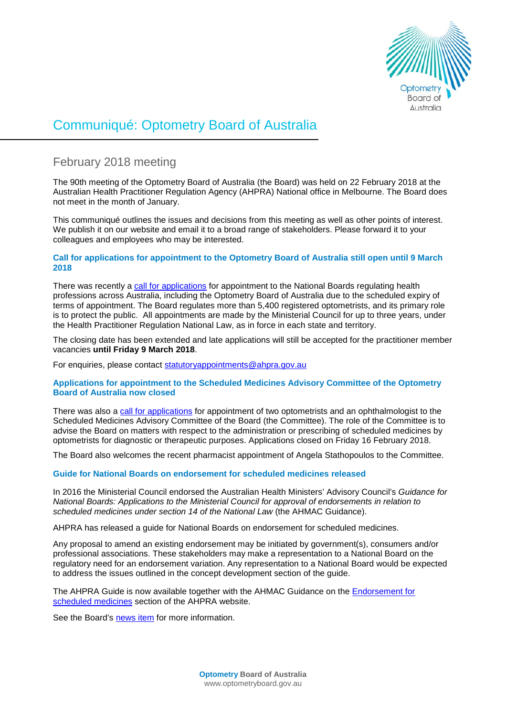

# Communiqué: Optometry Board of Australia

# February 2018 meeting

The 90th meeting of the Optometry Board of Australia (the Board) was held on 22 February 2018 at the Australian Health Practitioner Regulation Agency (AHPRA) National office in Melbourne. The Board does not meet in the month of January.

This communiqué outlines the issues and decisions from this meeting as well as other points of interest. We publish it on our website and email it to a broad range of stakeholders. Please forward it to your colleagues and employees who may be interested.

# **Call for applications for appointment to the Optometry Board of Australia still open until 9 March 2018**

There was recently a [call for applications](http://www.optometryboard.gov.au/News/2017-01-12-call-for-applications-nb.aspx) for appointment to the National Boards regulating health professions across Australia, including the Optometry Board of Australia due to the scheduled expiry of terms of appointment. The Board regulates more than 5,400 registered optometrists, and its primary role is to protect the public. All appointments are made by the Ministerial Council for up to three years, under the Health Practitioner Regulation National Law, as in force in each state and territory.

The closing date has been extended and late applications will still be accepted for the practitioner member vacancies **until Friday 9 March 2018**.

For enquiries, please contact statutoryappointments@ahpra.gov.au

# **Applications for appointment to the Scheduled Medicines Advisory Committee of the Optometry Board of Australia now closed**

There was also a [call for applications](http://www.optometryboard.gov.au/News/2018-01-22-call-for-applications.aspx) for appointment of two optometrists and an ophthalmologist to the Scheduled Medicines Advisory Committee of the Board (the Committee). The role of the Committee is to advise the Board on matters with respect to the administration or prescribing of scheduled medicines by optometrists for diagnostic or therapeutic purposes. Applications closed on Friday 16 February 2018.

The Board also welcomes the recent pharmacist appointment of Angela Stathopoulos to the Committee.

# **Guide for National Boards on endorsement for scheduled medicines released**

In 2016 the Ministerial Council endorsed the Australian Health Ministers' Advisory Council's *Guidance for National Boards: Applications to the Ministerial Council for approval of endorsements in relation to scheduled medicines under section 14 of the National Law* (the AHMAC Guidance).

AHPRA has released a guide for National Boards on endorsement for scheduled medicines.

Any proposal to amend an existing endorsement may be initiated by government(s), consumers and/or professional associations. These stakeholders may make a representation to a National Board on the regulatory need for an endorsement variation. Any representation to a National Board would be expected to address the issues outlined in the concept development section of the guide.

The AHPRA Guide is now available together with the AHMAC Guidance on the **Endorsement for** [scheduled medicines](http://www.ahpra.gov.au/National-Boards/Endorsement-for-scheduled-medicines.aspx) section of the AHPRA website.

See the Board's [news item](http://www.optometryboard.gov.au/News/2018-02-15-guide-for-national-boards.aspx) for more information.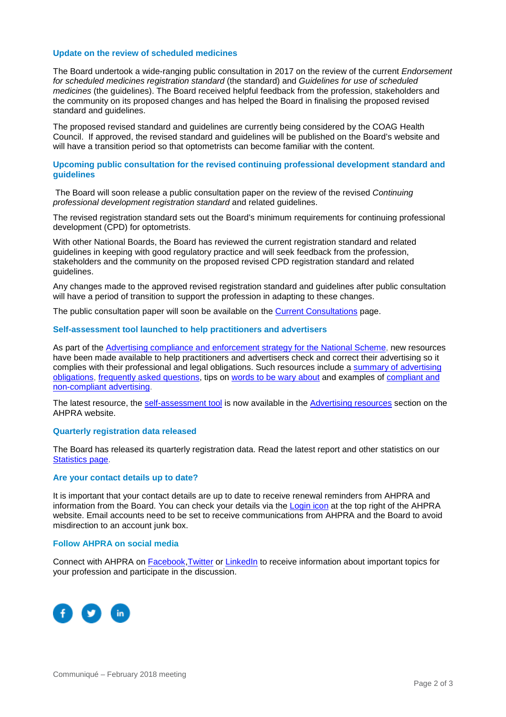### **Update on the review of scheduled medicines**

The Board undertook a wide-ranging public consultation in 2017 on the review of the current *Endorsement for scheduled medicines registration standard* (the standard) and *Guidelines for use of scheduled medicines* (the guidelines). The Board received helpful feedback from the profession, stakeholders and the community on its proposed changes and has helped the Board in finalising the proposed revised standard and guidelines.

The proposed revised standard and guidelines are currently being considered by the COAG Health Council. If approved, the revised standard and guidelines will be published on the Board's website and will have a transition period so that optometrists can become familiar with the content.

#### **Upcoming public consultation for the revised continuing professional development standard and guidelines**

The Board will soon release a public consultation paper on the review of the revised *Continuing professional development registration standard* and related guidelines.

The revised registration standard sets out the Board's minimum requirements for continuing professional development (CPD) for optometrists.

With other National Boards, the Board has reviewed the current registration standard and related guidelines in keeping with good regulatory practice and will seek feedback from the profession, stakeholders and the community on the proposed revised CPD registration standard and related guidelines.

Any changes made to the approved revised registration standard and guidelines after public consultation will have a period of transition to support the profession in adapting to these changes.

The public consultation paper will soon be available on the [Current Consultations](http://www.optometryboard.gov.au/News/Current-Consultations.aspx) page.

#### **Self-assessment tool launched to help practitioners and advertisers**

As part of the [Advertising compliance and enforcement strategy for the National Scheme,](http://www.ahpra.gov.au/Publications/Advertising-resources/Legislation-guidelines.aspx) new resources have been made available to help practitioners and advertisers check and correct their advertising so it complies with their professional and legal obligations. Such resources include a summary of advertising [obligations,](http://www.ahpra.gov.au/Publications/Advertising-resources/Legislation-guidelines/Summary-of-advertising-obligations.aspx) [frequently asked questions,](http://www.ahpra.gov.au/Publications/Advertising-resources/Further-information.aspx) tips on [words to be wary about](http://www.ahpra.gov.au/Publications/Advertising-resources/What-health-practitioners-and-healthcare-providers-need-to-know.aspx) and examples of [compliant and](http://www.ahpra.gov.au/Publications/Advertising-resources/Check-and-correct/All-professions-examples.aspx)  [non-compliant advertising.](http://www.ahpra.gov.au/Publications/Advertising-resources/Check-and-correct/All-professions-examples.aspx)

The latest resource, the [self-assessment tool](http://www.ahpra.gov.au/Publications/Advertising-resources/Check-and-correct/Self-assessment-tool.aspx) is now available in the [Advertising resources](http://www.ahpra.gov.au/Publications/Advertising-resources.aspx) section on the AHPRA website.

#### **Quarterly registration data released**

The Board has released its quarterly registration data. Read the latest report and other statistics on our [Statistics page.](http://www.optometryboard.gov.au/About/Statistics.aspx)

#### **Are your contact details up to date?**

It is important that your contact details are up to date to receive renewal reminders from AHPRA and information from the Board. You can check your details via the [Login icon](https://www.ahpra.gov.au/) at the top right of the AHPRA website. Email accounts need to be set to receive communications from AHPRA and the Board to avoid misdirection to an account junk box.

#### **Follow AHPRA on social media**

Connect with AHPRA on [Facebook,](https://www.facebook.com/ahpra.gov.au/) [Twitter](https://twitter.com/AHPRA) or [LinkedIn](https://www.linkedin.com/company/australian-health-practitioner-regulation-agency) to receive information about important topics for your profession and participate in the discussion.